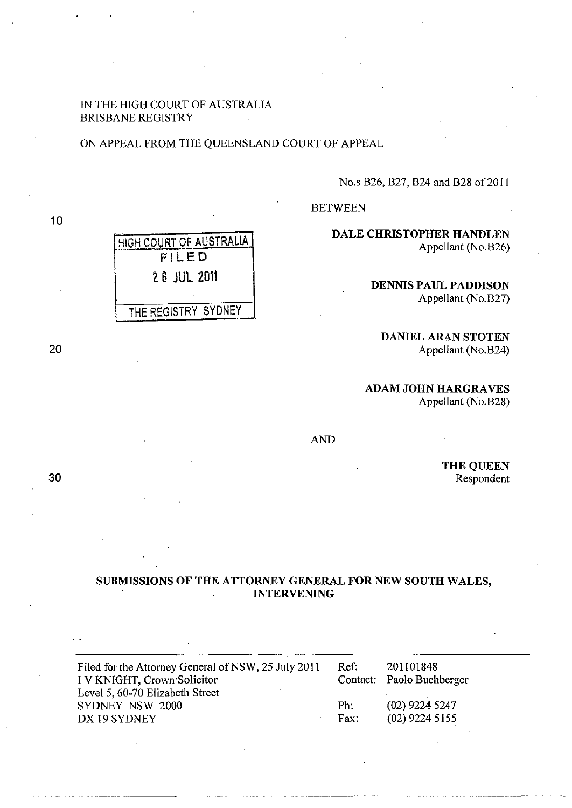# IN THE HIGH COURT OF AUSTRALIA BRISBANE REGISTRY

HIGH COURT OF AUSTRALIA FILED

26 JUL 2011

THE REGISTRY SYDNEY

### ON APPEAL FROM THE QUEENSLAND COURT OF APPEAL

No.s B26, B27, B24 and B28 of 2011

BETWEEN

DALE CHRISTOPHER HANDLEN Appellant (No.B26)

> DENNIS PAUL PADDISON Appellant (No.B27)

:DANIEL ARAN STOTEN Appellant (No.B24)

**ADAM JOHN HARGRAVES** Appellant (No.B28)

AND

THE QUEEN Respondent

## SUBMISSIONS OF THE ATTORNEY GENERAL FOR NEW SOUTH WALES, INTERVENING

| Filed for the Attorney General of NSW, 25 July 2011<br>I V KNIGHT, Crown Solicitor | Ref: | 201101848<br>Contact: Paolo Buchberger |
|------------------------------------------------------------------------------------|------|----------------------------------------|
| Level 5, 60-70 Elizabeth Street                                                    |      |                                        |
| SYDNEY NSW 2000                                                                    | Ph:  | $(02)$ 9224 5247                       |
| DX 19 SYDNEY                                                                       | Fax: | $(02)$ 9224 5155                       |

10

20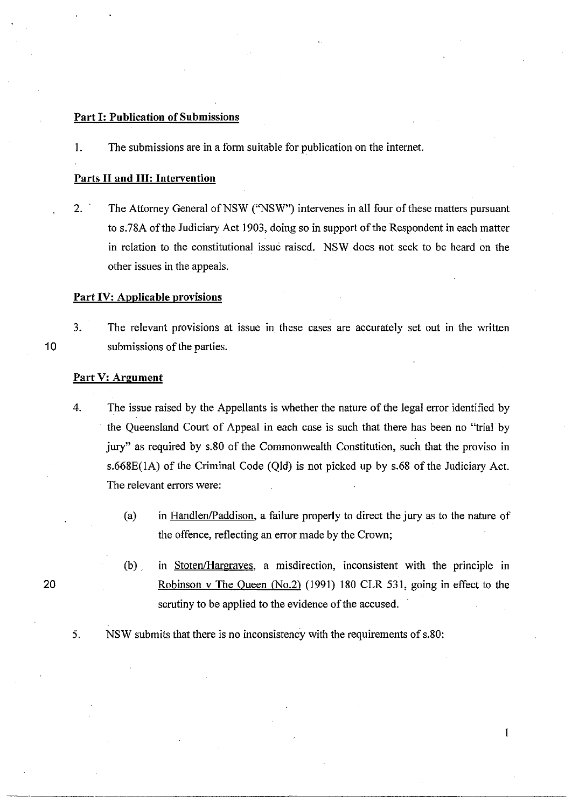## Part I: Publication of Submissions

I. The submissions are in a form suitable for publication on the internet.

#### Parts II and III: Intervention

2. The Attorney General of NSW ("NSW") intervenes in all four of these matters pursuant to s.78A of the Judiciary Act 1903, doing so in support of the Respondent in each matter in relation to the constitutional issue raised. NSW does not seek to be heard on the other issues in the appeals.

#### Part IV: Applicable provisions

3. The relevant provisions at issue in these cases are accurately set out in the written submissions of the parties.

### Part V: Argument

- 4. The issue raised by the Appellants is whether the nature of the legal error identified by the Queensland Court of Appeal in each case is such that there has been no "trial by jury" as required by s.80 of the Commonwealth Constitution, such that the proviso in s.668E(lA) of the Criminal Code (Qld) is not picked up by s.68 of the Judiciary Act. The relevant errors were:
	- (a) in Handlen/Paddison, a failure properly to direct the jury as to the nature of the offence, reflecting an error made by the Crown;
	- (b) , in Stoten/Hargraves, a misdirection, inconsistent with the principle in Robinson v The Queen (No.2) (1991) 180 CLR 531, going in effect to the scrutiny to be applied to the evidence of the accused.
- 5. NSW submits that there is no inconsistency with the requirements of s.80:

20

10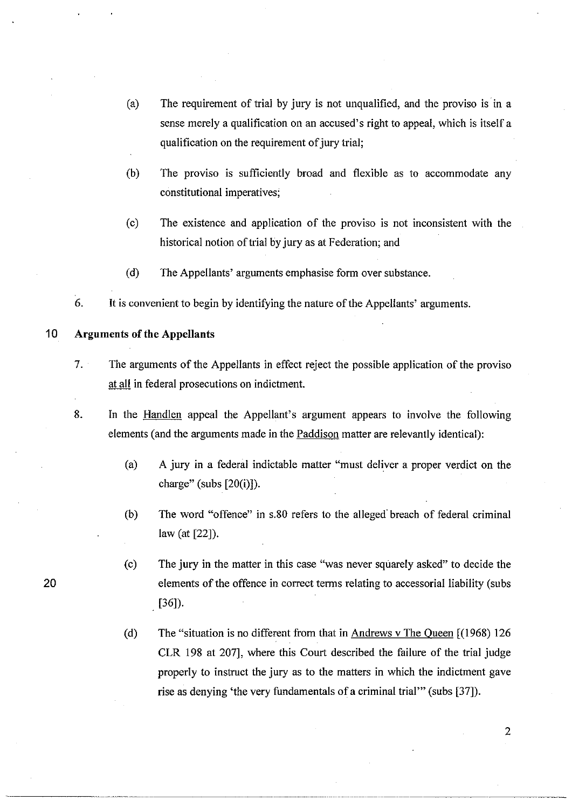- (a) The requirement of trial by jury is not unqualified, and the proviso is in a sense merely a qualification on an accused's right to appeal, which is itself a qualification on the requirement of jury trial;
- (b) The proviso is sufficiently broad and flexible as to accommodate any constitutional imperatives;
- (c) The existence and application of the proviso is not inconsistent with the historical notion of trial by jury as at Federation; and
- (d) The Appellants' arguments emphasise form over substance.
- 6. It is convenient to begin by identifying the nature of the Appellants' arguments.

# 10 **Arguments of the Appellants**

.. \_\_ . \_\_ .\_ ... -------

- 7. The arguments of the Appellants in effect reject the possible application of the proviso at all in federal prosecutions on indictment.
- 8. In the Handlen appeal the Appellant's argument appears to involve the following elements (and the arguments made in the **Paddison** matter are relevantly identical):
	- (a) A jury in a federal indictable matter "must deliver a proper verdict on the charge" (subs [20(i)]).
	- (b) The word "offence" in s.80 refers to the alleged' breach of federal criminal law (at [22]).
	- (c) The jury in the matter in this case "was never squarely asked" to decide the elements of the offence in correct terms relating to accessorial liability (subs [36]).
	- (d) The "situation is no different from that in  $Andrews$  v The Queen  $[(1968) 126$ CLR 198 at 207], where this Court described the failure of the trial judge properly to instruct the jury as to the matters in which the indictment gave rise as denying 'the very fundamentals of a criminal trial'" (subs [37]).

20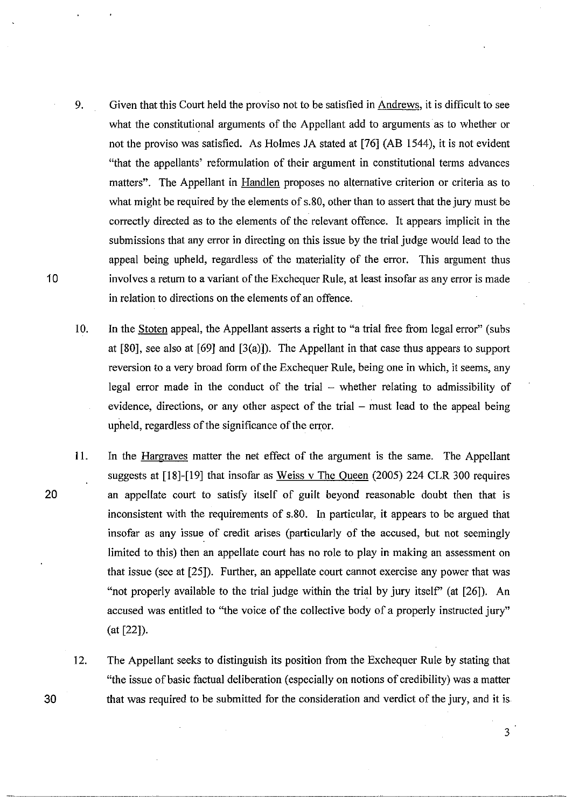- 9. Given that this Court held the proviso not to be satisfied in Andrews, it is difficult to see what the constitutional arguments of the Appellant add to arguments as to whether or not the proviso was satisfied. As Holmes JA stated at [76] (AB 1544), it is not evident "that the appellants' reformulation of their argument in constitutional terms advances matters". The Appellant in Handlen proposes no alternative criterion or criteria as to what might be required by the elements of s.80, other than to assert that the jury must be correctly directed as to the elements of the relevant offence. It appears implicit in the submissions that any error in directing on this issue by the trial judge would lead to the appeal being upheld, regardless of the materiality of the error. This argument thus involves a return to a variant of the Exchequer Rule, at least insofar as any error is made in relation to directions on the elements of an offence.
- 10. In the Stoten appeal, the Appellant asserts a right to "a trial free from legal error" (subs at [80], see also at [69] and  $(3(a))$ . The Appellant in that case thus appears to support reversion to a very broad form of the Exchequer Rule, being one in which, it seems, any legal error made in the conduct of the trial  $-$  whether relating to admissibility of evidence, directions, or any other aspect of the trial  $-$  must lead to the appeal being upheld, regardless of the significance of the error.
- 11. In the Hargraves matter the net effect of the argument is the same. The Appellant suggests at [18]-[19] that insofar as Weiss v The Queen (2005) 224 CLR 300 requires an appellate court to satisfy itself of guilt beyond reasonable doubt then that is inconsistent with the requirements of s.80. In particular, it appears to be argued that insofar as any issue of credit arises (particularly of the accused, but not seemingly limited to this) then an appellate court has no role to play in making an assessment on that issue (see at [25]). Further, an appellate court cannot exercise any power that was "not properly available to the trial judge within the trial by jury itself' (at [26]). An accused was entitled to "the voice of the collective body of a properly instructed jury" (at [22]).
	- 12. The Appellant seeks to distinguish its position from the Exchequer Rule by stating that "the issue of basic factual deliberation (especially on notions of credibility) was a matter that was required to be submitted for the consideration and verdict of the jury, and it is

10

20

30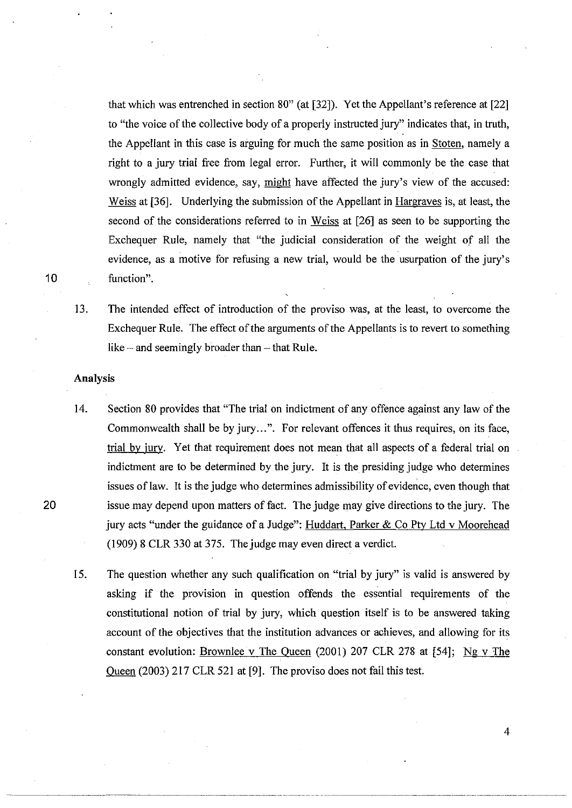that which was entrenched in section 80" (at [32]). Yet the Appellant's reference at [22] to "the voice of the collective body of a properly instructed jury" indicates that, in truth, the Appellant in this case is arguing for much the same position as in Stoten, namely a right to a jury trial free from legal error. Further, it will commonly be the case that wrongly admitted evidence, say, might have affected the jury's view of the accused: Weiss at [36]. Underlying the submission of the Appellant in Hargraves is, at least, the second of the considerations referred to in Weiss at [26] as seen to be supporting the Exchequer Rule, namely that "the judicial consideration of the weight of all the evidence, as a motive for refusing a new trial, would be the usurpation of the jury's function".

10

13. The intended effect of introduction of the proviso was, at the least, to overcome the Exchequer Rule. The effect of the arguments of the Appellants is to revert to something like  $-$  and seemingly broader than  $-$  that Rule.

### Analysis

- 14. Section 80 provides that "The trial on indictment of any offence against any law of the Commonwealth shall be by jury...". For relevant offences it thus requires, on its face, trial by jury. Yet that requirement does not mean that all aspects of a federal trial on indictment are to be determined by the jury. It is the presiding judge who determines issues of law. It is the judge who determines admissibility of evidence, even though that issue may depend upon matters of fact. The judge may give directions to the jury. The jury acts "under the guidance of a Judge": Huddart, Parker & Co Pty Ltd v Moorehead  $(1909)$  8 CLR 330 at 375. The judge may even direct a verdict.
- 15. The question whether any such qualification on "trial by jury" is valid is answered by asking if the provision in question offends the essential requirements of the constitutional notion of trial by jury, which question itself is to be answered taking account of the objectives that the institution advances or achieves, and allowing for its constant evolution: Brownlee v The Queen (2001) 207 CLR 278 at  $[54]$ ; Ng v The Queen (2003) 217 CLR 521 at [9]. The proviso does not fail this test.

4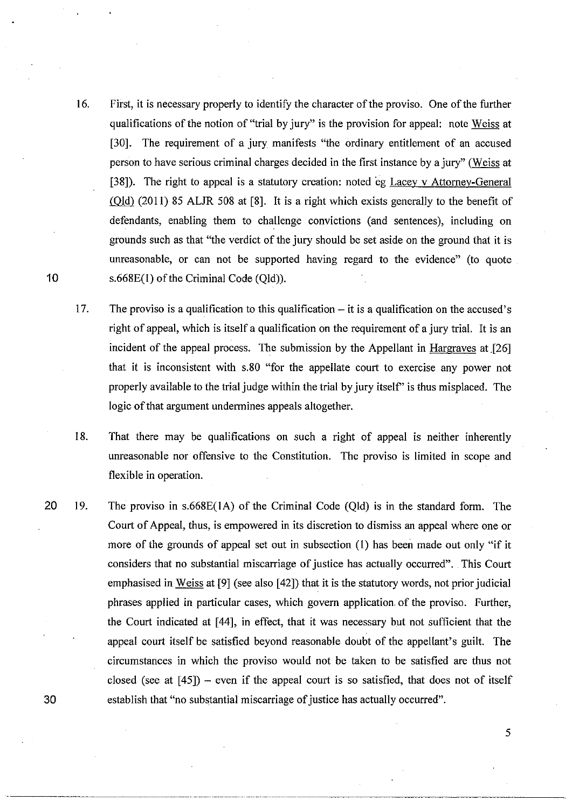- 16. First, it is necessary properly to identify the character of the proviso. One of the further qualifications of the notion of "trial by jury" is the provision for appeal: note Weiss at [30]. The requirement of a jury manifests "the ordinary entitlement of an accused person to have serious criminal charges decided in the first instance by a jury" (Weiss at [38]). The right to appeal is a statutory creation: noted eg Lacey v Attorney-General (QlQ} (20 **11)** 85 ALJR 508 at [8]. It is a right which exists generally to the benefit of defendants, enabling them to challenge convictions (and sentences), including on grounds such as that "the verdict of the jury should be set aside on the ground that it is unreasonable, or can not be supported having regard to the evidence" (to quote s.668E(1) of the Criminal Code (Qld)).
- 17. The proviso is a qualification to this qualification it is a qualification on the accused's right of appeal, which is itself a qualification on the requirement of a jury trial. It is an incident of the appeal process. The submission by the Appellant in Hargraves at  $[26]$ that it is inconsistent with s.80 "for the appellate court to exercise any power not properly available to the trial judge within the trial by jury itself" is thus misplaced. The logic of that argument undermines appeals altogether.
- 18. That there may be qualifications on such a right of appeal is neither inherently unreasonable nor offensive to the Constitution. The proviso is limited in scope and flexible in operation.
- 19. The proviso in s.668E(lA) of the Criminal Code (Qld) is in the standard form. The Court of Appeal, thus, is empowered in its discretion to dismiss an appeal where one or more of the grounds of appeal set out in subsection (I) has been made out only "if it considers that no substantial miscarriage of justice has actually occurred". This Court emphasised in Weiss at [9] (see also [42]) that it is the statutory words, not prior judicial phrases applied in particular cases, which govern application of the proviso. Further, the Court indicated at [44], in effect, that it was necessary but not sufficient that the appeal court itself be satisfied beyond reasonable doubt of the appellant's guilt. The circumstances in which the proviso would not be taken to be satisfied are thus not closed (see at  $[45]$ ) – even if the appeal court is so satisfied, that does not of itself establish that "no substantial miscarriage of justice has actually occurred".

---------\_.\_.\_-\_ .. \_----\_.- -----------

10

20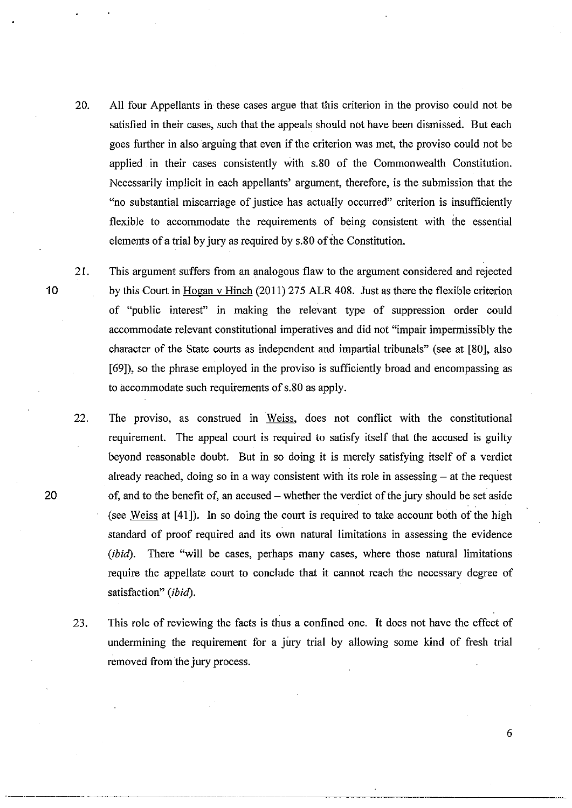- 20. All four Appellants in these cases argue that this criterion in the proviso could not be satisfied in their cases, such that the appeals should not have been dismissed. But each goes further in also arguing that even if the criterion was met, the proviso could not be applied in their cases consistently with s.80 of the Commonwealth Constitution. Necessarily implicit in each appellants' argument, therefore, is the submission that the "no substantial miscarriage of justice has actually occurred" criterion is insufficiently flexible to accommodate the requirements of being consistent with the essential elements of a trial by jury as required by s.80 of the Constitution.
- 21. This argument suffers from an analogous flaw to the argument considered and rejected by this Court in Hogan v Hinch (2011) 275 ALR 408. Just as there the flexible criterion of "public interest" in making the relevant type of suppression order could accommodate relevant constitutional imperatives and did not "impair impermissibly the character of the State courts as independent and impartial tribunals" (see at [80], also [69]), so the phrase employed in the proviso is sufficiently broad and encompassing as to accommodate such requirements of s.80 as apply.
- 22. The proviso, as construed in Weiss, does not conflict with the constitutional requirement. The appeal court is required to satisfy itself that the accused is guilty beyond reasonable doubt. But in so doing it is merely satisfying itself of a verdict already reached, doing so in a way consistent with its role in assessing  $-$  at the request of, and to the benefit of, an accused – whether the verdict of the jury should be set aside (see Weiss at [41]). In so doing the court is required to take account both of the high standard of proof required and its own natural limitations in assessing the evidence *(ibid).* There "will be cases, perhaps many cases, where those natural limitations require the appellate court to conclude that it cannot reach the necessary degree of satisfaction" *(ibid).*
- 23. This role of reviewing the facts is thus a confined one. It does not have the effect of undermining the requirement for a jury trial by allowing some kind of fresh trial removed from the jury process.

10

20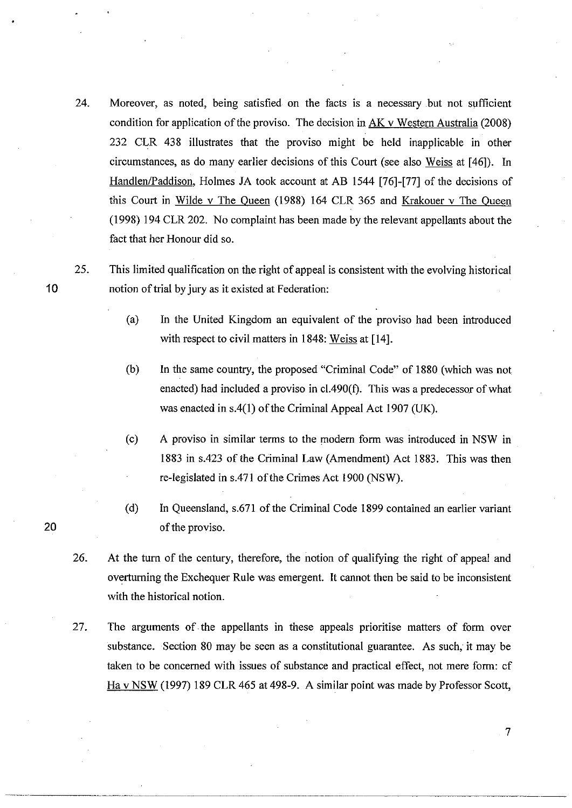- 24. Moreover, as noted, being satisfied on the facts is a necessary .but not sufficient condition for application of the proviso. The decision in  $AK$  v Western Australia (2008) 232 CLR 438 illustrates that the proviso might be held inapplicable in other circumstances, as do many earlier decisions of this Court (see also Weiss at [46]). In Handlen/Paddison, Holmes JA took account at AB 1544 [76]-[77] of the decisions of this Court in Wilde v The Queen (1988) 164 CLR 365 and Krakouer v The Queen (1998) 194 CLR 202. No complaint has been made by the relevant appellants about the fact that her Honour did so.
- 25. This limited qualification on the right of appeal is consistent with the evolving historical notion of trial by jury as it existed at Federation:
	- (a) In the United Kingdom an equivalent of the proviso had been introduced with respect to civil matters in 1848: Weiss at [14].
	- (b) In the same country, the proposed "Criminal Code" of 1880 (which was not enacted) had included a proviso in cI.490(f). This was a predecessor of what was enacted in  $s.4(1)$  of the Criminal Appeal Act 1907 (UK).
	- (c) A proviso in similar terms to the modern form was introduced in NSW in 1883 in s.423 of the Criminal Law (Amendment) Act 1883. This was then re-legislated in s.471 of the Crimes Act 1900 (NSW).
	- (d) In Queensland, s.671 of the Criminal Code 1899 contained an earlier variant of the proviso.
- 26. At the turn of the century, therefore, the notion of qualifying the right of appeal and overturning the Exchequer Rule was emergent. It cannot then be said to be inconsistent with the historical notion.
- 27. The arguments of the appellants in these appeals prioritise matters of form over substance. Section 80 may be seen as a constitutional guarantee. As such, it may be taken to be concerned with issues of substance and practical effect, not mere form: cf Ha vNSW (1997) 189 CLR 465 at 498-9. A similar point was made by Professor Scott,

10